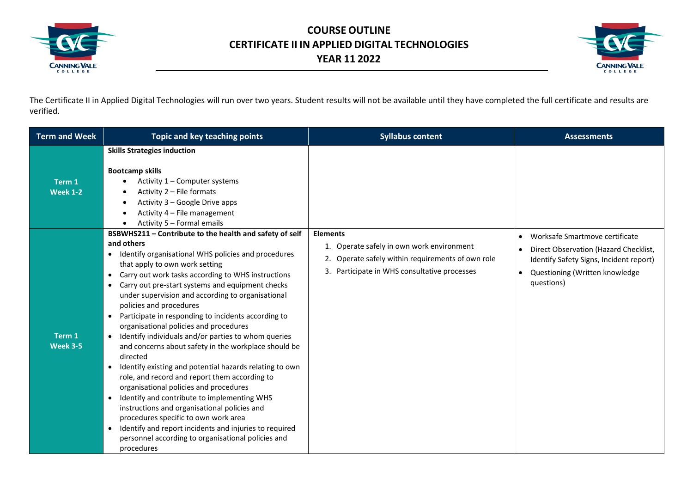



The Certificate II in Applied Digital Technologies will run over two years. Student results will not be available until they have completed the full certificate and results are verified.

| <b>Term and Week</b>      | Topic and key teaching points                                                                                                                                                                                                                                                                                                                                                                                                                                                                                                                                                                                                                                                                                                                                                                                                                                                                                                                                                                                                                                                         | <b>Syllabus content</b>                                                                                                                                              | <b>Assessments</b>                                                                                                                                                                |
|---------------------------|---------------------------------------------------------------------------------------------------------------------------------------------------------------------------------------------------------------------------------------------------------------------------------------------------------------------------------------------------------------------------------------------------------------------------------------------------------------------------------------------------------------------------------------------------------------------------------------------------------------------------------------------------------------------------------------------------------------------------------------------------------------------------------------------------------------------------------------------------------------------------------------------------------------------------------------------------------------------------------------------------------------------------------------------------------------------------------------|----------------------------------------------------------------------------------------------------------------------------------------------------------------------|-----------------------------------------------------------------------------------------------------------------------------------------------------------------------------------|
| Term 1<br><b>Week 1-2</b> | <b>Skills Strategies induction</b><br><b>Bootcamp skills</b><br>Activity 1 – Computer systems<br>Activity 2 - File formats<br>Activity 3 - Google Drive apps<br>Activity 4 - File management<br>Activity 5 - Formal emails                                                                                                                                                                                                                                                                                                                                                                                                                                                                                                                                                                                                                                                                                                                                                                                                                                                            |                                                                                                                                                                      |                                                                                                                                                                                   |
| Term 1<br><b>Week 3-5</b> | BSBWHS211 - Contribute to the health and safety of self<br>and others<br>Identify organisational WHS policies and procedures<br>٠<br>that apply to own work setting<br>Carry out work tasks according to WHS instructions<br>$\bullet$<br>Carry out pre-start systems and equipment checks<br>$\bullet$<br>under supervision and according to organisational<br>policies and procedures<br>Participate in responding to incidents according to<br>organisational policies and procedures<br>Identify individuals and/or parties to whom queries<br>and concerns about safety in the workplace should be<br>directed<br>Identify existing and potential hazards relating to own<br>$\bullet$<br>role, and record and report them according to<br>organisational policies and procedures<br>Identify and contribute to implementing WHS<br>$\bullet$<br>instructions and organisational policies and<br>procedures specific to own work area<br>Identify and report incidents and injuries to required<br>$\bullet$<br>personnel according to organisational policies and<br>procedures | <b>Elements</b><br>1. Operate safely in own work environment<br>Operate safely within requirements of own role<br>2.<br>3. Participate in WHS consultative processes | Worksafe Smartmove certificate<br>$\bullet$<br>Direct Observation (Hazard Checklist,<br>Identify Safety Signs, Incident report)<br>• Questioning (Written knowledge<br>questions) |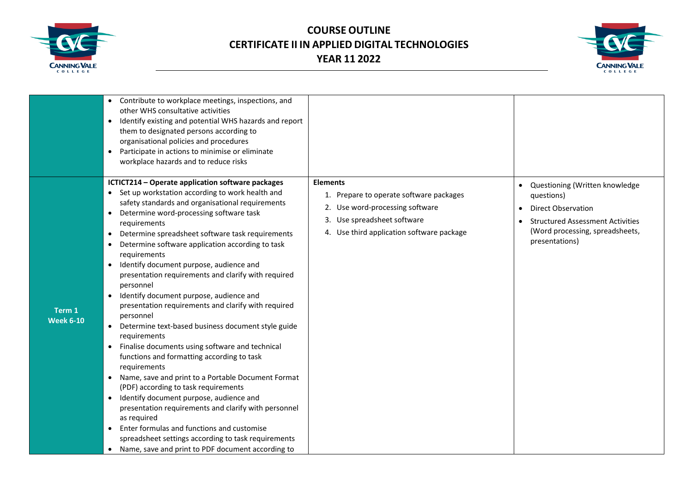



|                            | • Contribute to workplace meetings, inspections, and<br>other WHS consultative activities<br>Identify existing and potential WHS hazards and report<br>$\bullet$<br>them to designated persons according to<br>organisational policies and procedures<br>Participate in actions to minimise or eliminate<br>$\bullet$<br>workplace hazards and to reduce risks                                                                                                                                                                                                                                                                                                                                                                                                                                                                                                                                                                                                                                                                                                                                                                                                                                                                                           |                                                                                                                                                                           |                                                                                                                                                                                        |
|----------------------------|----------------------------------------------------------------------------------------------------------------------------------------------------------------------------------------------------------------------------------------------------------------------------------------------------------------------------------------------------------------------------------------------------------------------------------------------------------------------------------------------------------------------------------------------------------------------------------------------------------------------------------------------------------------------------------------------------------------------------------------------------------------------------------------------------------------------------------------------------------------------------------------------------------------------------------------------------------------------------------------------------------------------------------------------------------------------------------------------------------------------------------------------------------------------------------------------------------------------------------------------------------|---------------------------------------------------------------------------------------------------------------------------------------------------------------------------|----------------------------------------------------------------------------------------------------------------------------------------------------------------------------------------|
| Term 1<br><b>Week 6-10</b> | ICTICT214 - Operate application software packages<br>• Set up workstation according to work health and<br>safety standards and organisational requirements<br>Determine word-processing software task<br>$\bullet$<br>requirements<br>Determine spreadsheet software task requirements<br>$\bullet$<br>Determine software application according to task<br>$\bullet$<br>requirements<br>Identify document purpose, audience and<br>$\bullet$<br>presentation requirements and clarify with required<br>personnel<br>Identify document purpose, audience and<br>presentation requirements and clarify with required<br>personnel<br>Determine text-based business document style guide<br>$\bullet$<br>requirements<br>• Finalise documents using software and technical<br>functions and formatting according to task<br>requirements<br>Name, save and print to a Portable Document Format<br>$\bullet$<br>(PDF) according to task requirements<br>Identify document purpose, audience and<br>$\bullet$<br>presentation requirements and clarify with personnel<br>as required<br>Enter formulas and functions and customise<br>$\bullet$<br>spreadsheet settings according to task requirements<br>• Name, save and print to PDF document according to | <b>Elements</b><br>1. Prepare to operate software packages<br>2. Use word-processing software<br>3. Use spreadsheet software<br>4. Use third application software package | Questioning (Written knowledge<br>$\bullet$<br>questions)<br><b>Direct Observation</b><br><b>Structured Assessment Activities</b><br>(Word processing, spreadsheets,<br>presentations) |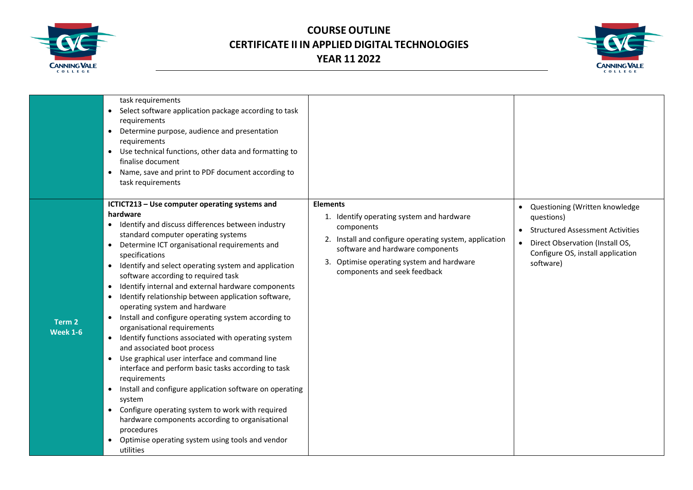



|                                      | task requirements<br>Select software application package according to task<br>$\bullet$<br>requirements<br>• Determine purpose, audience and presentation<br>requirements<br>• Use technical functions, other data and formatting to<br>finalise document<br>Name, save and print to PDF document according to<br>$\bullet$<br>task requirements                                                                                                                                                                                                                                                                                                                                                                                                                                                                                                                                                                                                                                                                                                                                                                                       |                                                                                                                                                                                                                                                       |                                                                                                                                                                           |
|--------------------------------------|----------------------------------------------------------------------------------------------------------------------------------------------------------------------------------------------------------------------------------------------------------------------------------------------------------------------------------------------------------------------------------------------------------------------------------------------------------------------------------------------------------------------------------------------------------------------------------------------------------------------------------------------------------------------------------------------------------------------------------------------------------------------------------------------------------------------------------------------------------------------------------------------------------------------------------------------------------------------------------------------------------------------------------------------------------------------------------------------------------------------------------------|-------------------------------------------------------------------------------------------------------------------------------------------------------------------------------------------------------------------------------------------------------|---------------------------------------------------------------------------------------------------------------------------------------------------------------------------|
| Term <sub>2</sub><br><b>Week 1-6</b> | ICTICT213 - Use computer operating systems and<br>hardware<br>Identify and discuss differences between industry<br>$\bullet$<br>standard computer operating systems<br>Determine ICT organisational requirements and<br>$\bullet$<br>specifications<br>Identify and select operating system and application<br>$\bullet$<br>software according to required task<br>Identify internal and external hardware components<br>$\bullet$<br>Identify relationship between application software,<br>$\bullet$<br>operating system and hardware<br>Install and configure operating system according to<br>$\bullet$<br>organisational requirements<br>• Identify functions associated with operating system<br>and associated boot process<br>• Use graphical user interface and command line<br>interface and perform basic tasks according to task<br>requirements<br>Install and configure application software on operating<br>$\bullet$<br>system<br>• Configure operating system to work with required<br>hardware components according to organisational<br>procedures<br>Optimise operating system using tools and vendor<br>utilities | <b>Elements</b><br>1. Identify operating system and hardware<br>components<br>2. Install and configure operating system, application<br>software and hardware components<br>3. Optimise operating system and hardware<br>components and seek feedback | • Questioning (Written knowledge<br>questions)<br>• Structured Assessment Activities<br>Direct Observation (Install OS,<br>Configure OS, install application<br>software) |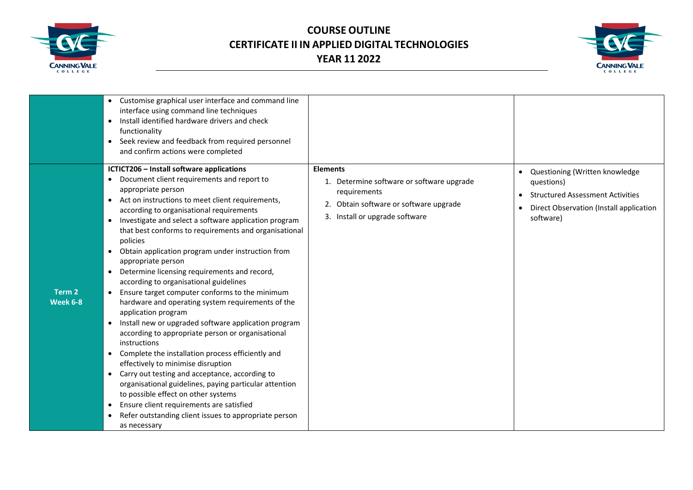



|                                      | • Customise graphical user interface and command line<br>interface using command line techniques<br>Install identified hardware drivers and check<br>functionality<br>Seek review and feedback from required personnel<br>$\bullet$<br>and confirm actions were completed                                                                                                                                                                                                                                                                                                                                                                                                                                                                                                                                                                                                                                                                                                                                                                                                                                                                                                                                                                 |                                                                                                                                                          |                                                                                                                                              |
|--------------------------------------|-------------------------------------------------------------------------------------------------------------------------------------------------------------------------------------------------------------------------------------------------------------------------------------------------------------------------------------------------------------------------------------------------------------------------------------------------------------------------------------------------------------------------------------------------------------------------------------------------------------------------------------------------------------------------------------------------------------------------------------------------------------------------------------------------------------------------------------------------------------------------------------------------------------------------------------------------------------------------------------------------------------------------------------------------------------------------------------------------------------------------------------------------------------------------------------------------------------------------------------------|----------------------------------------------------------------------------------------------------------------------------------------------------------|----------------------------------------------------------------------------------------------------------------------------------------------|
| Term <sub>2</sub><br><b>Week 6-8</b> | ICTICT206 - Install software applications<br>Document client requirements and report to<br>appropriate person<br>Act on instructions to meet client requirements,<br>$\bullet$<br>according to organisational requirements<br>Investigate and select a software application program<br>$\bullet$<br>that best conforms to requirements and organisational<br>policies<br>Obtain application program under instruction from<br>$\bullet$<br>appropriate person<br>Determine licensing requirements and record,<br>$\bullet$<br>according to organisational guidelines<br>Ensure target computer conforms to the minimum<br>$\bullet$<br>hardware and operating system requirements of the<br>application program<br>Install new or upgraded software application program<br>according to appropriate person or organisational<br>instructions<br>Complete the installation process efficiently and<br>$\bullet$<br>effectively to minimise disruption<br>Carry out testing and acceptance, according to<br>$\bullet$<br>organisational guidelines, paying particular attention<br>to possible effect on other systems<br>Ensure client requirements are satisfied<br>Refer outstanding client issues to appropriate person<br>as necessary | <b>Elements</b><br>1. Determine software or software upgrade<br>requirements<br>2. Obtain software or software upgrade<br>3. Install or upgrade software | • Questioning (Written knowledge<br>questions)<br>• Structured Assessment Activities<br>Direct Observation (Install application<br>software) |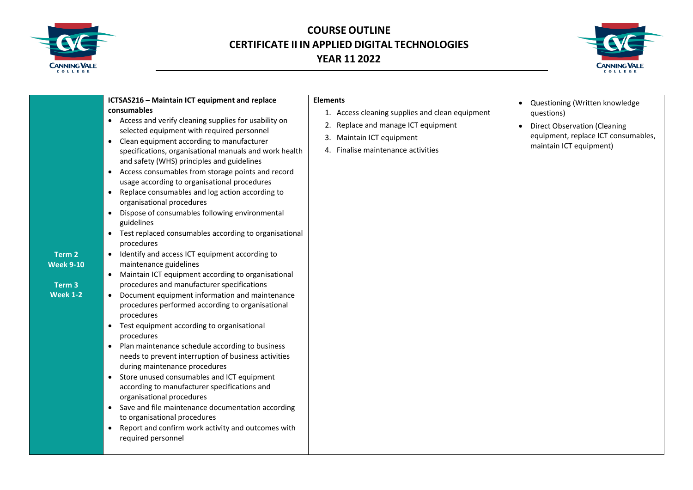



| ICTSAS216 - Maintain ICT equipment and replace<br>consumables<br>• Access and verify cleaning supplies for usability on<br>selected equipment with required personnel<br>Clean equipment according to manufacturer<br>$\bullet$<br>specifications, organisational manuals and work health<br>and safety (WHS) principles and guidelines<br>Access consumables from storage points and record<br>$\bullet$<br>usage according to organisational procedures<br>Replace consumables and log action according to<br>$\bullet$<br>organisational procedures<br>Dispose of consumables following environmental<br>$\bullet$<br>guidelines<br>Test replaced consumables according to organisational<br>$\bullet$<br>procedures<br>Identify and access ICT equipment according to<br>$\bullet$<br>Term <sub>2</sub><br>maintenance guidelines<br><b>Week 9-10</b><br>Maintain ICT equipment according to organisational<br>$\bullet$<br>procedures and manufacturer specifications<br>Term <sub>3</sub><br><b>Week 1-2</b><br>Document equipment information and maintenance<br>procedures performed according to organisational<br>procedures<br>Test equipment according to organisational<br>$\bullet$<br>procedures<br>Plan maintenance schedule according to business<br>$\bullet$<br>needs to prevent interruption of business activities<br>during maintenance procedures<br>Store unused consumables and ICT equipment<br>$\bullet$<br>according to manufacturer specifications and<br>organisational procedures<br>Save and file maintenance documentation according<br>$\bullet$<br>to organisational procedures<br>Report and confirm work activity and outcomes with<br>$\bullet$<br>required personnel | <b>Elements</b><br>1. Access cleaning supplies and clean equipment<br>Replace and manage ICT equipment<br>2.<br>Maintain ICT equipment<br>3.<br>4. Finalise maintenance activities | Questioning (Written knowledge<br>questions)<br><b>Direct Observation (Cleaning</b><br>equipment, replace ICT consumables,<br>maintain ICT equipment) |
|-------------------------------------------------------------------------------------------------------------------------------------------------------------------------------------------------------------------------------------------------------------------------------------------------------------------------------------------------------------------------------------------------------------------------------------------------------------------------------------------------------------------------------------------------------------------------------------------------------------------------------------------------------------------------------------------------------------------------------------------------------------------------------------------------------------------------------------------------------------------------------------------------------------------------------------------------------------------------------------------------------------------------------------------------------------------------------------------------------------------------------------------------------------------------------------------------------------------------------------------------------------------------------------------------------------------------------------------------------------------------------------------------------------------------------------------------------------------------------------------------------------------------------------------------------------------------------------------------------------------------------------------------------------------------------------------------------------|------------------------------------------------------------------------------------------------------------------------------------------------------------------------------------|-------------------------------------------------------------------------------------------------------------------------------------------------------|
|-------------------------------------------------------------------------------------------------------------------------------------------------------------------------------------------------------------------------------------------------------------------------------------------------------------------------------------------------------------------------------------------------------------------------------------------------------------------------------------------------------------------------------------------------------------------------------------------------------------------------------------------------------------------------------------------------------------------------------------------------------------------------------------------------------------------------------------------------------------------------------------------------------------------------------------------------------------------------------------------------------------------------------------------------------------------------------------------------------------------------------------------------------------------------------------------------------------------------------------------------------------------------------------------------------------------------------------------------------------------------------------------------------------------------------------------------------------------------------------------------------------------------------------------------------------------------------------------------------------------------------------------------------------------------------------------------------------|------------------------------------------------------------------------------------------------------------------------------------------------------------------------------------|-------------------------------------------------------------------------------------------------------------------------------------------------------|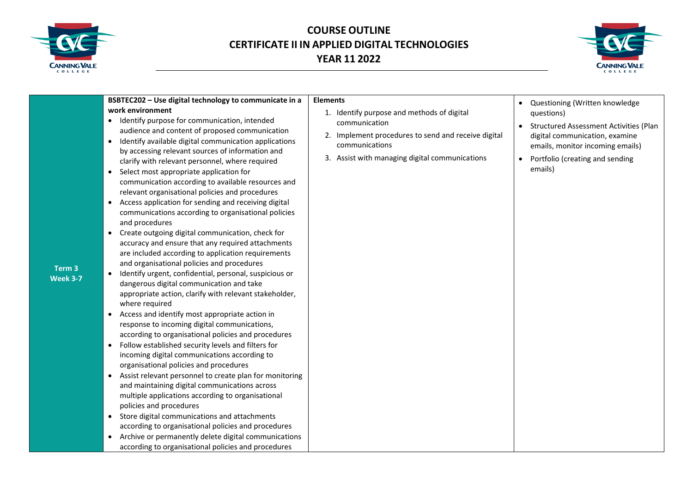



| BSBTEC202 - Use digital technology to communicate in a                                                                                                                                                                                                                                                                                                                                                                                                                                                                                                                                                                                                                                                                                                                                                                                                                                                                                                                                                                                                                                                                                                                                                                                                                                                                                                                                                                                                                                                                                                                                                                                                                                                                                                                        | <b>Elements</b>                                                                                                                                                                        |                                                                                                                                                                                                                   |
|-------------------------------------------------------------------------------------------------------------------------------------------------------------------------------------------------------------------------------------------------------------------------------------------------------------------------------------------------------------------------------------------------------------------------------------------------------------------------------------------------------------------------------------------------------------------------------------------------------------------------------------------------------------------------------------------------------------------------------------------------------------------------------------------------------------------------------------------------------------------------------------------------------------------------------------------------------------------------------------------------------------------------------------------------------------------------------------------------------------------------------------------------------------------------------------------------------------------------------------------------------------------------------------------------------------------------------------------------------------------------------------------------------------------------------------------------------------------------------------------------------------------------------------------------------------------------------------------------------------------------------------------------------------------------------------------------------------------------------------------------------------------------------|----------------------------------------------------------------------------------------------------------------------------------------------------------------------------------------|-------------------------------------------------------------------------------------------------------------------------------------------------------------------------------------------------------------------|
| work environment<br>• Identify purpose for communication, intended<br>audience and content of proposed communication<br>• Identify available digital communication applications<br>by accessing relevant sources of information and<br>clarify with relevant personnel, where required<br>• Select most appropriate application for<br>communication according to available resources and<br>relevant organisational policies and procedures<br>Access application for sending and receiving digital<br>communications according to organisational policies<br>and procedures<br>Create outgoing digital communication, check for<br>$\bullet$<br>accuracy and ensure that any required attachments<br>are included according to application requirements<br>and organisational policies and procedures<br>Term 3<br>Identify urgent, confidential, personal, suspicious or<br>$\bullet$<br><b>Week 3-7</b><br>dangerous digital communication and take<br>appropriate action, clarify with relevant stakeholder,<br>where required<br>Access and identify most appropriate action in<br>$\bullet$<br>response to incoming digital communications,<br>according to organisational policies and procedures<br>• Follow established security levels and filters for<br>incoming digital communications according to<br>organisational policies and procedures<br>Assist relevant personnel to create plan for monitoring<br>and maintaining digital communications across<br>multiple applications according to organisational<br>policies and procedures<br>Store digital communications and attachments<br>according to organisational policies and procedures<br>Archive or permanently delete digital communications<br>according to organisational policies and procedures | 1. Identify purpose and methods of digital<br>communication<br>2. Implement procedures to send and receive digital<br>communications<br>3. Assist with managing digital communications | Questioning (Written knowledge<br>questions)<br><b>Structured Assessment Activities (Plan</b><br>digital communication, examine<br>emails, monitor incoming emails)<br>Portfolio (creating and sending<br>emails) |